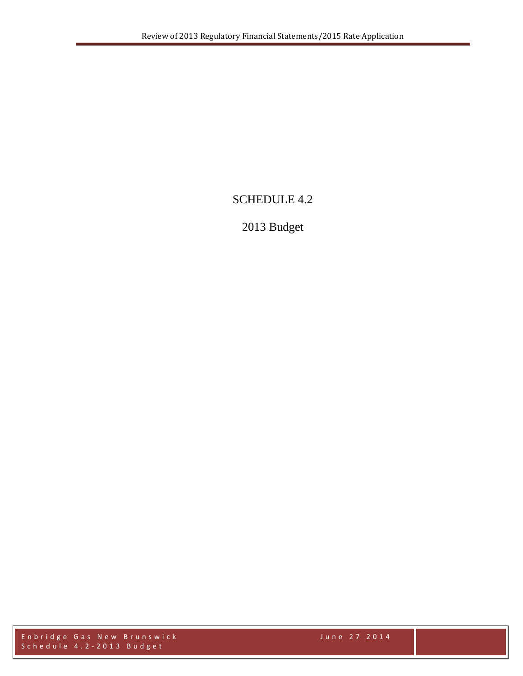# SCHEDULE 4.2

# 2013 Budget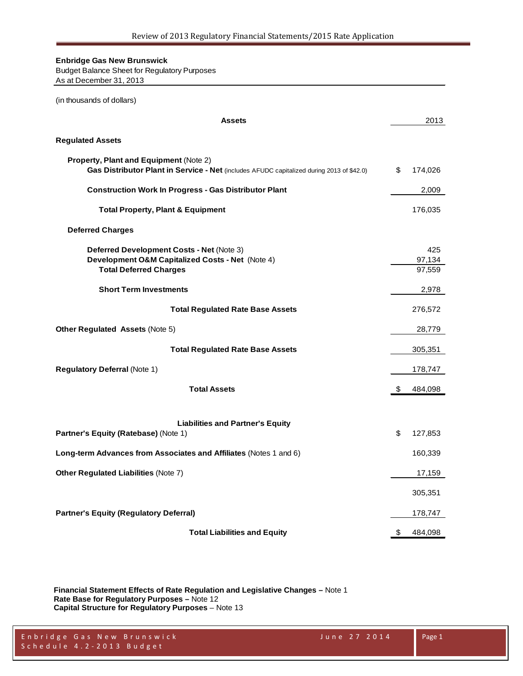Budget Balance Sheet for Regulatory Purposes As at December 31, 2013

| (in thousands of dollars)                                                                                                           |    |                         |
|-------------------------------------------------------------------------------------------------------------------------------------|----|-------------------------|
| <b>Assets</b>                                                                                                                       |    | 2013                    |
| <b>Regulated Assets</b>                                                                                                             |    |                         |
| Property, Plant and Equipment (Note 2)<br>Gas Distributor Plant in Service - Net (includes AFUDC capitalized during 2013 of \$42.0) | \$ | 174,026                 |
| <b>Construction Work In Progress - Gas Distributor Plant</b>                                                                        |    | 2,009                   |
| <b>Total Property, Plant &amp; Equipment</b>                                                                                        |    | 176,035                 |
| <b>Deferred Charges</b>                                                                                                             |    |                         |
| Deferred Development Costs - Net (Note 3)<br>Development O&M Capitalized Costs - Net (Note 4)<br><b>Total Deferred Charges</b>      |    | 425<br>97,134<br>97,559 |
| <b>Short Term Investments</b>                                                                                                       |    | 2,978                   |
| <b>Total Regulated Rate Base Assets</b>                                                                                             |    | 276,572                 |
| Other Regulated Assets (Note 5)                                                                                                     |    | 28,779                  |
| <b>Total Regulated Rate Base Assets</b>                                                                                             |    | 305,351                 |
| <b>Regulatory Deferral (Note 1)</b>                                                                                                 |    | 178,747                 |
| <b>Total Assets</b>                                                                                                                 | S. | 484,098                 |
| <b>Liabilities and Partner's Equity</b><br>Partner's Equity (Ratebase) (Note 1)                                                     | \$ | 127,853                 |
| Long-term Advances from Associates and Affiliates (Notes 1 and 6)                                                                   |    | 160,339                 |
| Other Regulated Liabilities (Note 7)                                                                                                |    | 17,159                  |
|                                                                                                                                     |    | 305,351                 |
| <b>Partner's Equity (Regulatory Deferral)</b>                                                                                       |    | 178,747                 |
| <b>Total Liabilities and Equity</b>                                                                                                 | \$ | 484,098                 |

**Financial Statement Effects of Rate Regulation and Legislative Changes –** Note 1 **Rate Base for Regulatory Purposes –** Note 12 **Capital Structure for Regulatory Purposes** – Note 13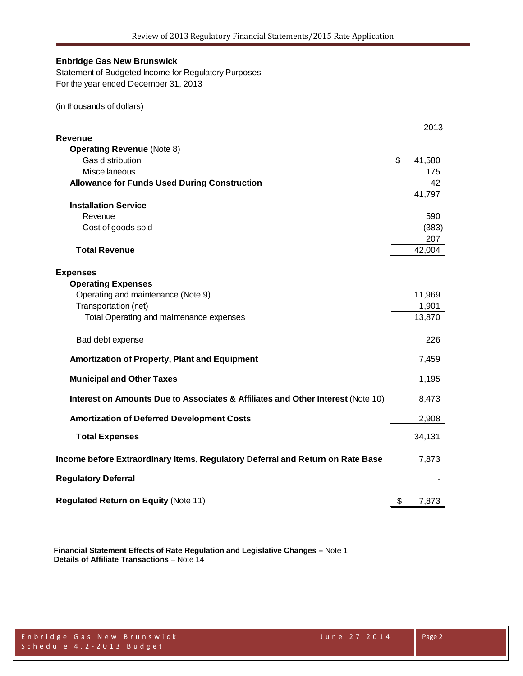Statement of Budgeted Income for Regulatory Purposes For the year ended December 31, 2013

(in thousands of dollars)

|                                                                                 | 2013         |
|---------------------------------------------------------------------------------|--------------|
| Revenue                                                                         |              |
| <b>Operating Revenue (Note 8)</b>                                               |              |
| Gas distribution                                                                | \$<br>41,580 |
| Miscellaneous                                                                   | 175          |
| <b>Allowance for Funds Used During Construction</b>                             | 42           |
|                                                                                 | 41,797       |
| <b>Installation Service</b>                                                     |              |
| Revenue                                                                         | 590          |
| Cost of goods sold                                                              | (383)        |
|                                                                                 | 207          |
| <b>Total Revenue</b>                                                            | 42,004       |
|                                                                                 |              |
| <b>Expenses</b>                                                                 |              |
| <b>Operating Expenses</b><br>Operating and maintenance (Note 9)                 | 11,969       |
| Transportation (net)                                                            | 1,901        |
| Total Operating and maintenance expenses                                        | 13,870       |
|                                                                                 |              |
| Bad debt expense                                                                | 226          |
| Amortization of Property, Plant and Equipment                                   | 7,459        |
| <b>Municipal and Other Taxes</b>                                                | 1,195        |
| Interest on Amounts Due to Associates & Affiliates and Other Interest (Note 10) | 8,473        |
| <b>Amortization of Deferred Development Costs</b>                               | 2,908        |
| <b>Total Expenses</b>                                                           | 34,131       |
| Income before Extraordinary Items, Regulatory Deferral and Return on Rate Base  | 7,873        |
| <b>Regulatory Deferral</b>                                                      |              |
| <b>Regulated Return on Equity (Note 11)</b>                                     | \$<br>7,873  |

**Financial Statement Effects of Rate Regulation and Legislative Changes –** Note 1 **Details of Affiliate Transactions** – Note 14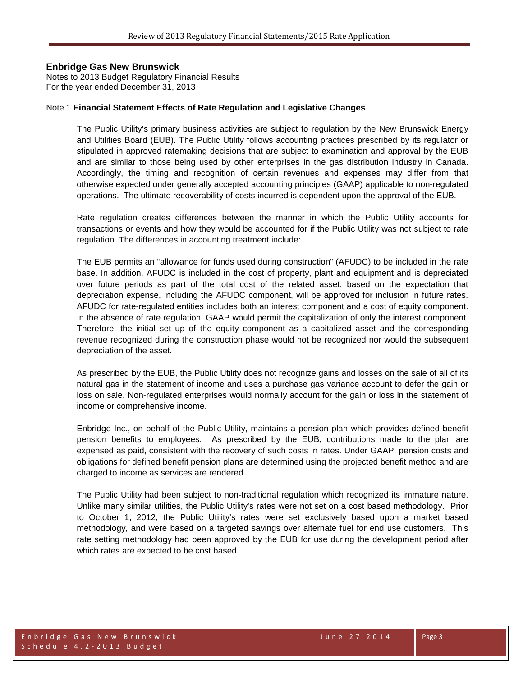Notes to 2013 Budget Regulatory Financial Results For the year ended December 31, 2013

#### Note 1 **Financial Statement Effects of Rate Regulation and Legislative Changes**

The Public Utility's primary business activities are subject to regulation by the New Brunswick Energy and Utilities Board (EUB). The Public Utility follows accounting practices prescribed by its regulator or stipulated in approved ratemaking decisions that are subject to examination and approval by the EUB and are similar to those being used by other enterprises in the gas distribution industry in Canada. Accordingly, the timing and recognition of certain revenues and expenses may differ from that otherwise expected under generally accepted accounting principles (GAAP) applicable to non-regulated operations. The ultimate recoverability of costs incurred is dependent upon the approval of the EUB.

Rate regulation creates differences between the manner in which the Public Utility accounts for transactions or events and how they would be accounted for if the Public Utility was not subject to rate regulation. The differences in accounting treatment include:

The EUB permits an "allowance for funds used during construction" (AFUDC) to be included in the rate base. In addition, AFUDC is included in the cost of property, plant and equipment and is depreciated over future periods as part of the total cost of the related asset, based on the expectation that depreciation expense, including the AFUDC component, will be approved for inclusion in future rates. AFUDC for rate-regulated entities includes both an interest component and a cost of equity component. In the absence of rate regulation, GAAP would permit the capitalization of only the interest component. Therefore, the initial set up of the equity component as a capitalized asset and the corresponding revenue recognized during the construction phase would not be recognized nor would the subsequent depreciation of the asset.

As prescribed by the EUB, the Public Utility does not recognize gains and losses on the sale of all of its natural gas in the statement of income and uses a purchase gas variance account to defer the gain or loss on sale. Non-regulated enterprises would normally account for the gain or loss in the statement of income or comprehensive income.

Enbridge Inc., on behalf of the Public Utility, maintains a pension plan which provides defined benefit pension benefits to employees. As prescribed by the EUB, contributions made to the plan are expensed as paid, consistent with the recovery of such costs in rates. Under GAAP, pension costs and obligations for defined benefit pension plans are determined using the projected benefit method and are charged to income as services are rendered.

The Public Utility had been subject to non-traditional regulation which recognized its immature nature. Unlike many similar utilities, the Public Utility's rates were not set on a cost based methodology. Prior to October 1, 2012, the Public Utility's rates were set exclusively based upon a market based methodology, and were based on a targeted savings over alternate fuel for end use customers. This rate setting methodology had been approved by the EUB for use during the development period after which rates are expected to be cost based.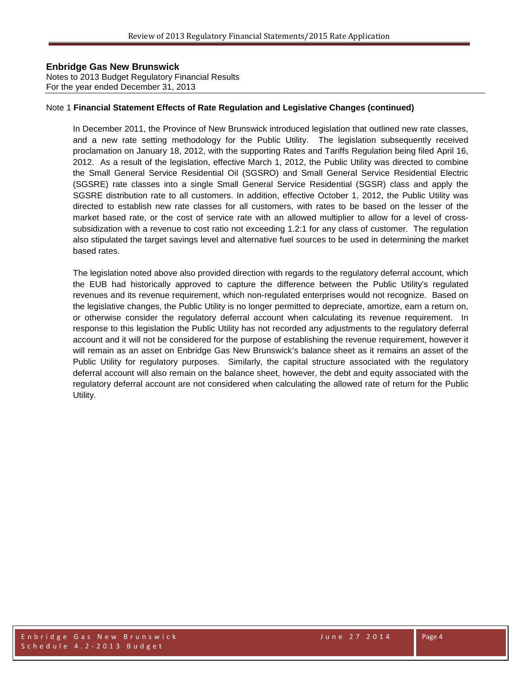Notes to 2013 Budget Regulatory Financial Results For the year ended December 31, 2013

#### Note 1 **Financial Statement Effects of Rate Regulation and Legislative Changes (continued)**

In December 2011, the Province of New Brunswick introduced legislation that outlined new rate classes, and a new rate setting methodology for the Public Utility. The legislation subsequently received proclamation on January 18, 2012, with the supporting Rates and Tariffs Regulation being filed April 16, 2012. As a result of the legislation, effective March 1, 2012, the Public Utility was directed to combine the Small General Service Residential Oil (SGSRO) and Small General Service Residential Electric (SGSRE) rate classes into a single Small General Service Residential (SGSR) class and apply the SGSRE distribution rate to all customers. In addition, effective October 1, 2012, the Public Utility was directed to establish new rate classes for all customers, with rates to be based on the lesser of the market based rate, or the cost of service rate with an allowed multiplier to allow for a level of crosssubsidization with a revenue to cost ratio not exceeding 1.2:1 for any class of customer. The regulation also stipulated the target savings level and alternative fuel sources to be used in determining the market based rates.

The legislation noted above also provided direction with regards to the regulatory deferral account, which the EUB had historically approved to capture the difference between the Public Utility's regulated revenues and its revenue requirement, which non-regulated enterprises would not recognize. Based on the legislative changes, the Public Utility is no longer permitted to depreciate, amortize, earn a return on, or otherwise consider the regulatory deferral account when calculating its revenue requirement. In response to this legislation the Public Utility has not recorded any adjustments to the regulatory deferral account and it will not be considered for the purpose of establishing the revenue requirement, however it will remain as an asset on Enbridge Gas New Brunswick's balance sheet as it remains an asset of the Public Utility for regulatory purposes. Similarly, the capital structure associated with the regulatory deferral account will also remain on the balance sheet, however, the debt and equity associated with the regulatory deferral account are not considered when calculating the allowed rate of return for the Public Utility.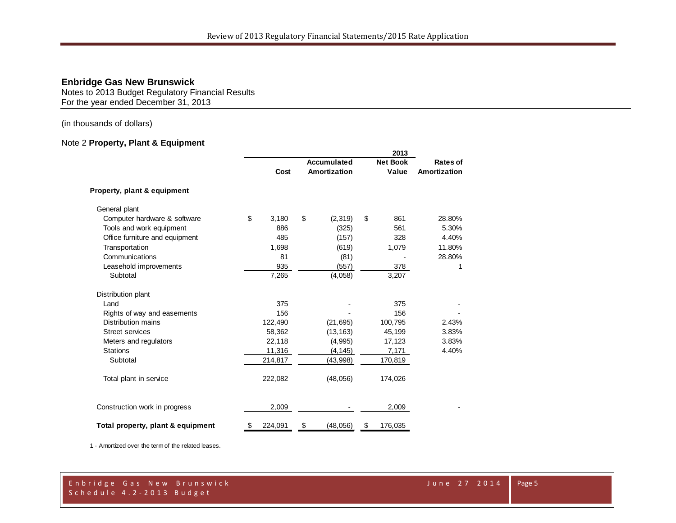Notes to 2013 Budget Regulatory Financial Results For the year ended December 31, 2013

(in thousands of dollars)

## Note 2 **Property, Plant & Equipment**

|                                   | 2013        |         |    |              |    |                 |              |
|-----------------------------------|-------------|---------|----|--------------|----|-----------------|--------------|
|                                   | Accumulated |         |    |              |    | <b>Net Book</b> | Rates of     |
|                                   |             | Cost    |    | Amortization |    | Value           | Amortization |
| Property, plant & equipment       |             |         |    |              |    |                 |              |
| General plant                     |             |         |    |              |    |                 |              |
| Computer hardware & software      | \$          | 3,180   | \$ | (2,319)      | \$ | 861             | 28.80%       |
| Tools and work equipment          |             | 886     |    | (325)        |    | 561             | 5.30%        |
| Office furniture and equipment    |             | 485     |    | (157)        |    | 328             | 4.40%        |
| Transportation                    |             | 1,698   |    | (619)        |    | 1,079           | 11.80%       |
| Communications                    |             | 81      |    | (81)         |    |                 | 28.80%       |
| Leasehold improvements            |             | 935     |    | (557)        |    | 378             | 1            |
| Subtotal                          |             | 7,265   |    | (4,058)      |    | 3,207           |              |
| Distribution plant                |             |         |    |              |    |                 |              |
| Land                              |             | 375     |    |              |    | 375             |              |
| Rights of way and easements       |             | 156     |    |              |    | 156             |              |
| Distribution mains                |             | 122,490 |    | (21, 695)    |    | 100,795         | 2.43%        |
| <b>Street services</b>            |             | 58,362  |    | (13, 163)    |    | 45,199          | 3.83%        |
| Meters and regulators             |             | 22,118  |    | (4,995)      |    | 17,123          | 3.83%        |
| <b>Stations</b>                   |             | 11,316  |    | (4, 145)     |    | 7,171           | 4.40%        |
| Subtotal                          |             | 214,817 |    | (43,998)     |    | 170,819         |              |
| Total plant in service            |             | 222,082 |    | (48,056)     |    | 174,026         |              |
| Construction work in progress     |             | 2,009   |    |              |    | 2,009           |              |
| Total property, plant & equipment | \$          | 224,091 | \$ | (48, 056)    | \$ | 176,035         |              |

1 - Amortized over the term of the related leases.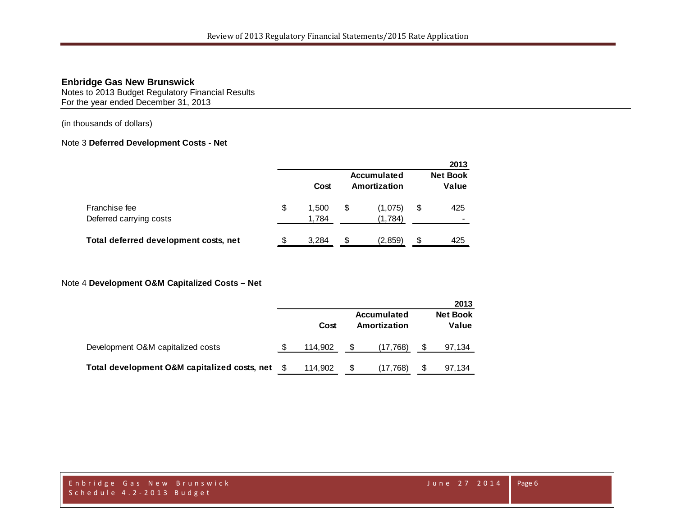Notes to 2013 Budget Regulatory Financial Results For the year ended December 31, 2013

(in thousands of dollars)

### Note 3 **Deferred Development Costs - Net**

|                                          |    |                |   |                                    |    | 2013                     |
|------------------------------------------|----|----------------|---|------------------------------------|----|--------------------------|
|                                          |    | Cost           |   | <b>Accumulated</b><br>Amortization |    | <b>Net Book</b><br>Value |
| Franchise fee<br>Deferred carrying costs | \$ | 1.500<br>1,784 | S | (1,075)<br>(1,784)                 | \$ | 425                      |
| Total deferred development costs, net    | S  | 3.284          | S | (2.859)                            | S  | 425                      |

#### Note 4 **Development O&M Capitalized Costs – Net**

|                                              |         |                                    |   | 2013                     |
|----------------------------------------------|---------|------------------------------------|---|--------------------------|
|                                              | Cost    | <b>Accumulated</b><br>Amortization |   | <b>Net Book</b><br>Value |
| Development O&M capitalized costs            | 114.902 | (17, 768)                          |   | 97,134                   |
| Total development O&M capitalized costs, net | 114,902 | (17,768)                           | S | 97,134                   |

Enbridge Gas New Brunswick June 27 2014 Schedule 4.2 - 2013 Budget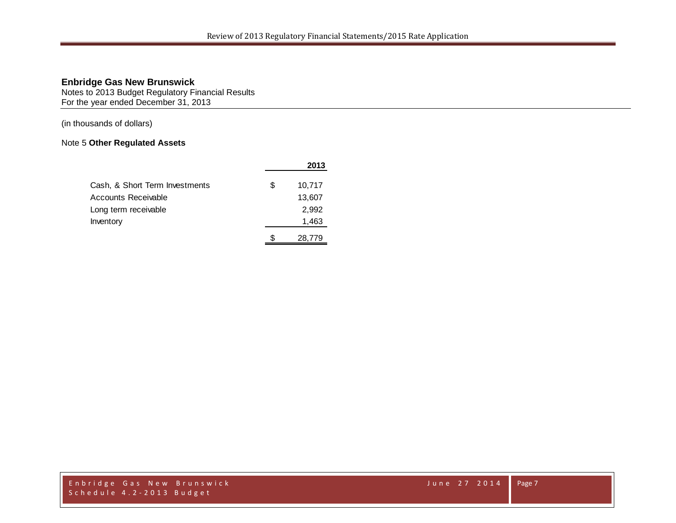Notes to 2013 Budget Regulatory Financial Results For the year ended December 31, 2013

(in thousands of dollars)

## Note 5 **Other Regulated Assets**

|                                |    | 2013   |
|--------------------------------|----|--------|
| Cash, & Short Term Investments | £. | 10,717 |
| Accounts Receivable            |    | 13,607 |
| Long term receivable           |    | 2,992  |
| Inventory                      |    | 1,463  |
|                                | S  | 28.779 |

Enbridge Gas New Brunswick June 27 2014 Schedule 4.2 - 2013 Budget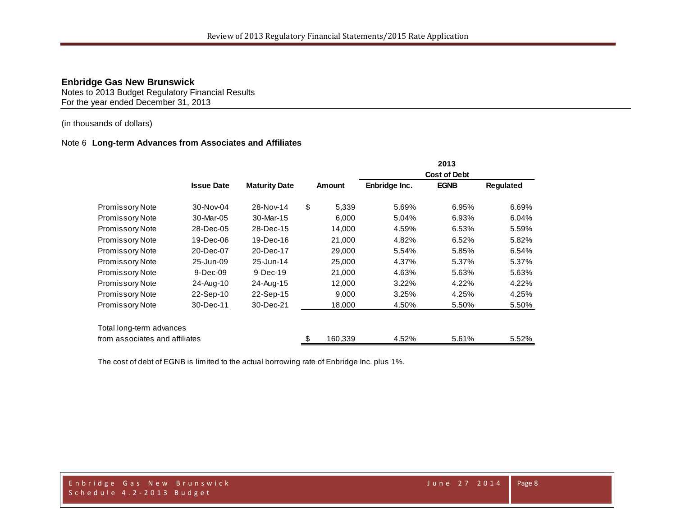Notes to 2013 Budget Regulatory Financial Results For the year ended December 31, 2013

### (in thousands of dollars)

#### Note 6 **Long-term Advances from Associates and Affiliates**

|                                |                   |                      |               |                     | 2013        |           |
|--------------------------------|-------------------|----------------------|---------------|---------------------|-------------|-----------|
|                                |                   |                      |               | <b>Cost of Debt</b> |             |           |
|                                | <b>Issue Date</b> | <b>Maturity Date</b> | Amount        | Enbridge Inc.       | <b>EGNB</b> | Regulated |
| <b>Promissory Note</b>         | 30-Nov-04         | 28-Nov-14            | \$<br>5,339   | 5.69%               | 6.95%       | 6.69%     |
| <b>Promissory Note</b>         | 30-Mar-05         | 30-Mar-15            | 6,000         | 5.04%               | 6.93%       | 6.04%     |
| <b>Promissory Note</b>         | 28-Dec-05         | 28-Dec-15            | 14,000        | 4.59%               | 6.53%       | 5.59%     |
| <b>Promissory Note</b>         | 19-Dec-06         | 19-Dec-16            | 21,000        | 4.82%               | 6.52%       | 5.82%     |
| <b>Promissory Note</b>         | 20-Dec-07         | 20-Dec-17            | 29,000        | 5.54%               | 5.85%       | 6.54%     |
| Promissory Note                | 25-Jun-09         | 25-Jun-14            | 25,000        | 4.37%               | 5.37%       | 5.37%     |
| <b>Promissory Note</b>         | $9-Dec-09$        | $9-Dec-19$           | 21,000        | 4.63%               | 5.63%       | 5.63%     |
| <b>Promissory Note</b>         | 24-Aug-10         | 24-Aug-15            | 12,000        | 3.22%               | 4.22%       | 4.22%     |
| <b>Promissory Note</b>         | 22-Sep-10         | 22-Sep-15            | 9,000         | 3.25%               | 4.25%       | 4.25%     |
| <b>Promissory Note</b>         | 30-Dec-11         | 30-Dec-21            | 18,000        | 4.50%               | 5.50%       | 5.50%     |
| Total long-term advances       |                   |                      |               |                     |             |           |
| from associates and affiliates |                   |                      | \$<br>160,339 | 4.52%               | 5.61%       | 5.52%     |

The cost of debt of EGNB is limited to the actual borrowing rate of Enbridge Inc. plus 1%.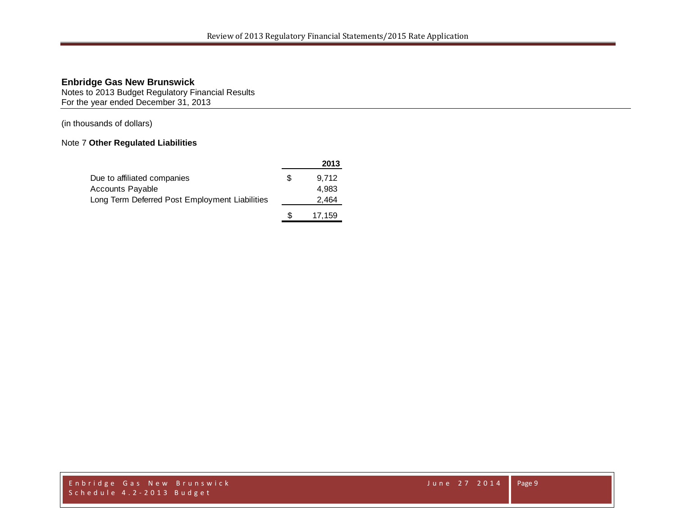Notes to 2013 Budget Regulatory Financial Results For the year ended December 31, 2013

(in thousands of dollars)

## Note 7 **Other Regulated Liabilities**

|                                                |     | 2013   |
|------------------------------------------------|-----|--------|
| Due to affiliated companies                    | \$  | 9.712  |
| <b>Accounts Payable</b>                        |     | 4.983  |
| Long Term Deferred Post Employment Liabilities |     | 2,464  |
|                                                | \$. | 17.159 |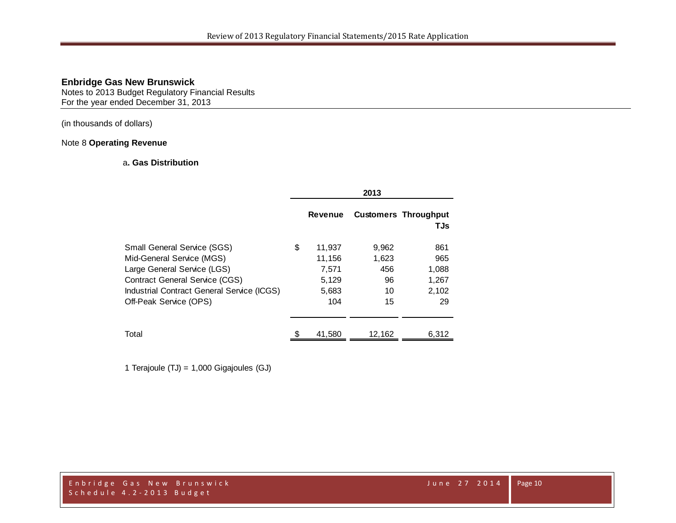Notes to 2013 Budget Regulatory Financial Results For the year ended December 31, 2013

(in thousands of dollars)

#### Note 8 **Operating Revenue**

### a**. Gas Distribution**

|                                                                                                                                                                                                                 | 2013                                                     |                                         |                                             |  |
|-----------------------------------------------------------------------------------------------------------------------------------------------------------------------------------------------------------------|----------------------------------------------------------|-----------------------------------------|---------------------------------------------|--|
|                                                                                                                                                                                                                 | <b>Revenue</b>                                           |                                         | <b>Customers Throughput</b><br>TJs          |  |
| <b>Small General Service (SGS)</b><br>Mid-General Service (MGS)<br>Large General Service (LGS)<br><b>Contract General Service (CGS)</b><br>Industrial Contract General Service (ICGS)<br>Off-Peak Service (OPS) | \$<br>11,937<br>11,156<br>7,571<br>5,129<br>5,683<br>104 | 9,962<br>1,623<br>456<br>96<br>10<br>15 | 861<br>965<br>1,088<br>1,267<br>2,102<br>29 |  |
| Total                                                                                                                                                                                                           | 41,580                                                   | 12,162                                  | 6,312                                       |  |

1 Terajoule (TJ) = 1,000 Gigajoules (GJ)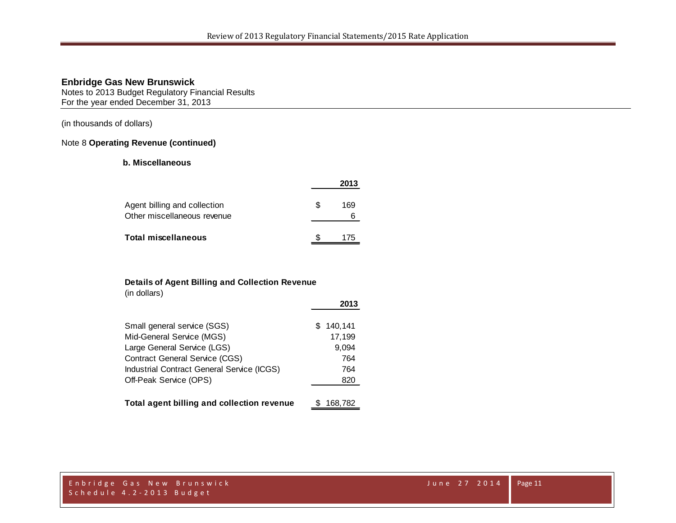Notes to 2013 Budget Regulatory Financial Results For the year ended December 31, 2013

(in thousands of dollars)

#### Note 8 **Operating Revenue (continued)**

#### **b. Miscellaneous**

|                                                             |     | 2013 |
|-------------------------------------------------------------|-----|------|
| Agent billing and collection<br>Other miscellaneous revenue | \$. | 169  |
| <b>Total miscellaneous</b>                                  |     | 175  |

#### **Details of Agent Billing and Collection Revenue**

(in dollars)

|                                            | 2013      |
|--------------------------------------------|-----------|
| Small general service (SGS)                | \$140,141 |
| Mid-General Service (MGS)                  | 17,199    |
| Large General Service (LGS)                | 9,094     |
| <b>Contract General Service (CGS)</b>      | 764       |
| Industrial Contract General Service (ICGS) | 764       |
| Off-Peak Service (OPS)                     | 820       |
| Total agent billing and collection revenue | 168,782   |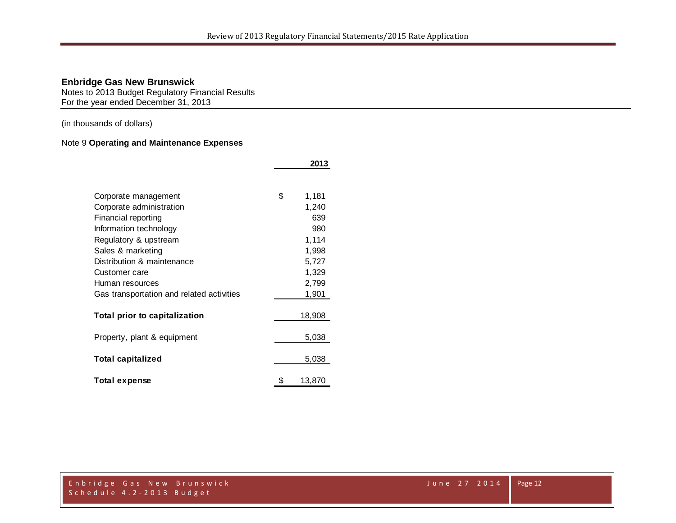**2013**

### **Enbridge Gas New Brunswick**

Notes to 2013 Budget Regulatory Financial Results For the year ended December 31, 2013

(in thousands of dollars)

## Note 9 **Operating and Maintenance Expenses**

|                                           | LV I J       |
|-------------------------------------------|--------------|
|                                           |              |
| Corporate management                      | \$<br>1,181  |
| Corporate administration                  | 1,240        |
| Financial reporting                       | 639          |
| Information technology                    | 980          |
| Regulatory & upstream                     | 1,114        |
| Sales & marketing                         | 1,998        |
| Distribution & maintenance                | 5,727        |
| Customer care                             | 1,329        |
| Human resources                           | 2,799        |
| Gas transportation and related activities | 1,901        |
|                                           |              |
| Total prior to capitalization             | 18,908       |
| Property, plant & equipment               | 5,038        |
| <b>Total capitalized</b>                  | 5,038        |
| <b>Total expense</b>                      | \$<br>13,870 |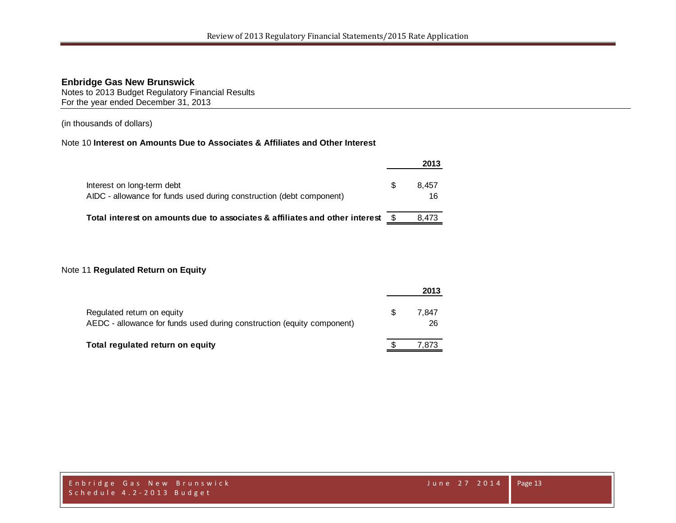Notes to 2013 Budget Regulatory Financial Results For the year ended December 31, 2013

(in thousands of dollars)

## Note 10 **Interest on Amounts Due to Associates & Affiliates and Other Interest**

|                                                                                                    |     | 2013        |
|----------------------------------------------------------------------------------------------------|-----|-------------|
| Interest on long-term debt<br>AIDC - allowance for funds used during construction (debt component) | \$. | 8.457<br>16 |
| Total interest on amounts due to associates & affiliates and other interest                        |     | 8.473       |

#### Note 11 **Regulated Return on Equity**

|                                                                                                      |     | 2013        |
|------------------------------------------------------------------------------------------------------|-----|-------------|
| Regulated return on equity<br>AEDC - allowance for funds used during construction (equity component) | \$. | 7.847<br>26 |
| Total regulated return on equity                                                                     |     | 7.873       |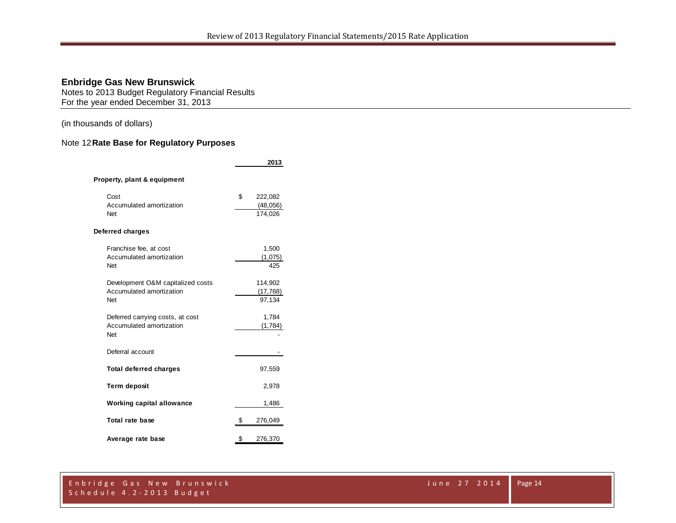Notes to 2013 Budget Regulatory Financial Results For the year ended December 31, 2013

(in thousands of dollars)

## Note 12**Rate Base for Regulatory Purposes**

|                                                                      | 2013                                  |
|----------------------------------------------------------------------|---------------------------------------|
| Property, plant & equipment                                          |                                       |
| Cost<br>Accumulated amortization<br>Net                              | \$<br>222,082<br>(48, 056)<br>174,026 |
| Deferred charges                                                     |                                       |
| Franchise fee, at cost<br>Accumulated amortization<br>Net            | 1,500<br>(1,075)<br>425               |
| Development O&M capitalized costs<br>Accumulated amortization<br>Net | 114,902<br>(17, 768)<br>97,134        |
| Deferred carrying costs, at cost<br>Accumulated amortization<br>Net  | 1,784<br>(1,784)                      |
| Deferral account                                                     |                                       |
| <b>Total deferred charges</b>                                        | 97,559                                |
| <b>Term deposit</b>                                                  | 2,978                                 |
| <b>Working capital allowance</b>                                     | 1,486                                 |
| Total rate base                                                      | \$<br>276,049                         |
| Average rate base                                                    | \$<br>276,370                         |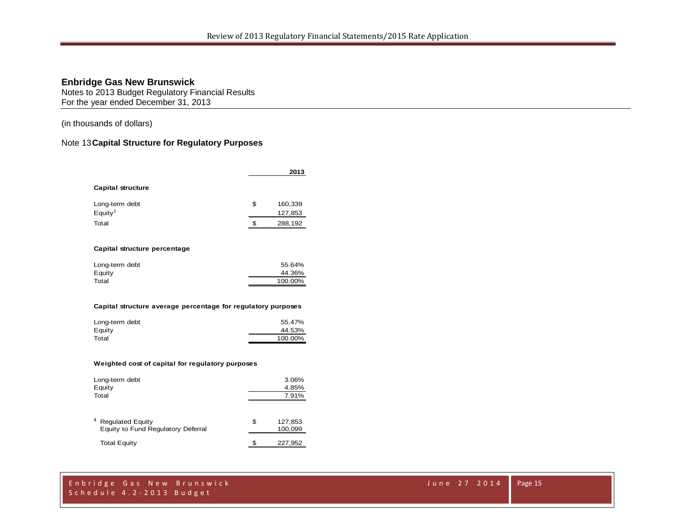Notes to 2013 Budget Regulatory Financial Results For the year ended December 31, 2013

(in thousands of dollars)

## Note 13**Capital Structure for Regulatory Purposes**

|                                                              |    | 2013              |  |  |  |  |  |  |  |
|--------------------------------------------------------------|----|-------------------|--|--|--|--|--|--|--|
| Capital structure                                            |    |                   |  |  |  |  |  |  |  |
| Long-term debt                                               | \$ | 160,339           |  |  |  |  |  |  |  |
| $E$ quity <sup>1</sup>                                       |    | 127,853           |  |  |  |  |  |  |  |
| Total                                                        | \$ | 288,192           |  |  |  |  |  |  |  |
| Capital structure percentage                                 |    |                   |  |  |  |  |  |  |  |
| Long-term debt                                               |    | 55.64%            |  |  |  |  |  |  |  |
| Equity<br>Total                                              |    | 44.36%<br>100.00% |  |  |  |  |  |  |  |
| Capital structure average percentage for regulatory purposes |    |                   |  |  |  |  |  |  |  |
| Long-term debt                                               |    | 55.47%            |  |  |  |  |  |  |  |
| Equity                                                       |    | 44.53%            |  |  |  |  |  |  |  |
| Total                                                        |    | 100.00%           |  |  |  |  |  |  |  |

#### **Weighted cost of capital for regulatory purposes**

| Long-term debt<br>Equity<br>Total                             | 3.06%<br>4.85%<br>7.91% |                    |  |
|---------------------------------------------------------------|-------------------------|--------------------|--|
| <b>Regulated Equity</b><br>Equity to Fund Regulatory Deferral | \$                      | 127,853<br>100,099 |  |
| <b>Total Equity</b>                                           |                         | 227,952            |  |